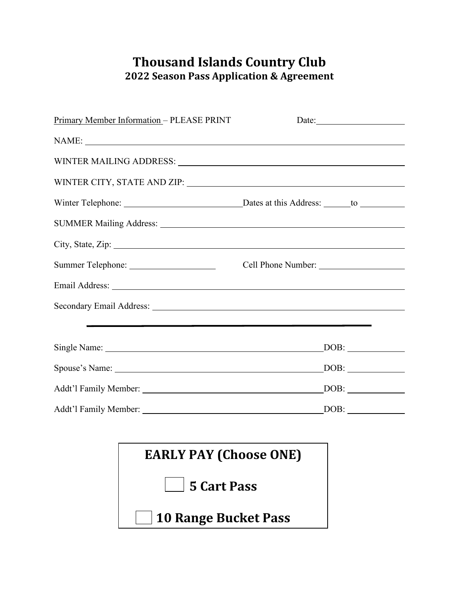## **Thousand Islands Country Club 2022 Season Pass Application & Agreement**

| Primary Member Information - PLEASE PRINT                                                                                                                                                                                      | Date:                     |
|--------------------------------------------------------------------------------------------------------------------------------------------------------------------------------------------------------------------------------|---------------------------|
|                                                                                                                                                                                                                                |                           |
| WINTER MAILING ADDRESS: University of the Mail Community of the Mail Community of the Mail Community of the Ma                                                                                                                 |                           |
|                                                                                                                                                                                                                                |                           |
|                                                                                                                                                                                                                                |                           |
|                                                                                                                                                                                                                                |                           |
| City, State, Zip:                                                                                                                                                                                                              |                           |
|                                                                                                                                                                                                                                |                           |
|                                                                                                                                                                                                                                |                           |
|                                                                                                                                                                                                                                |                           |
| the contract of the contract of the contract of the contract of the contract of the contract of the contract of                                                                                                                |                           |
|                                                                                                                                                                                                                                | $\angle$ DOB: $\angle$    |
| Spouse's Name: 2008 Contract Contract Contract Contract Contract Contract Contract Contract Contract Contract Contract Contract Contract Contract Contract Contract Contract Contract Contract Contract Contract Contract Cont | $\overline{\text{DOB}}$ : |
|                                                                                                                                                                                                                                | DOB:                      |
| Addt'l Family Member:                                                                                                                                                                                                          | DOB:                      |

| <b>EARLY PAY (Choose ONE)</b> |  |
|-------------------------------|--|
| $\vert$ 5 Cart Pass           |  |
| 10 Range Bucket Pass          |  |